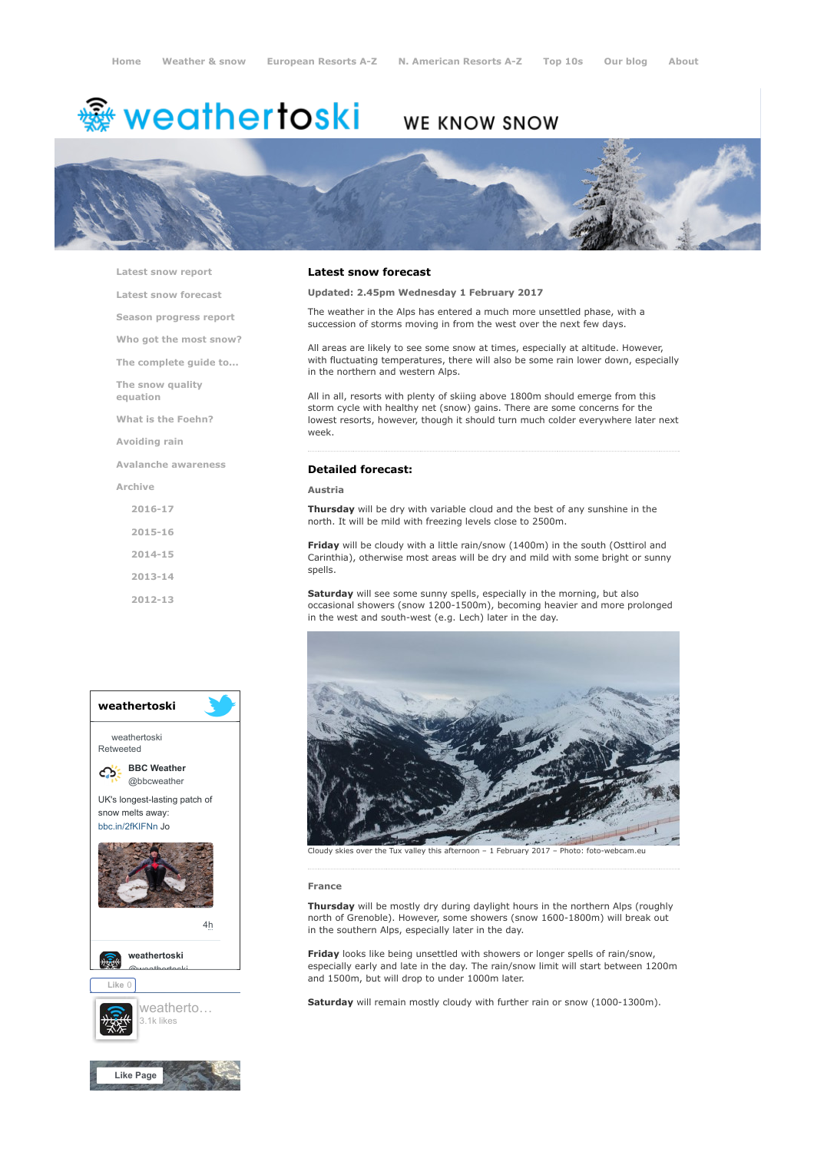# **※ weathertoski**

# WE KNOW SNOW



[Latest snow report](https://www.weathertoski.co.uk/weather-snow/latest-snow-report/)

[Latest snow forecast](https://www.weathertoski.co.uk/weather-snow/latest-snow-forecast/)

[Season progress report](https://www.weathertoski.co.uk/weather-snow/season-progress-report/)

[Who got the most snow?](https://www.weathertoski.co.uk/weather-snow/who-got-the-most-snow/)

[The complete guide to...](https://www.weathertoski.co.uk/weather-snow/the-complete-guide-to/)

[The snow quality](https://www.weathertoski.co.uk/weather-snow/the-snow-quality-equation/)

[What is the Foehn?](https://www.weathertoski.co.uk/weather-snow/what-is-the-foehn/)

[Avoiding rain](https://www.weathertoski.co.uk/weather-snow/avoiding-rain/)

[Avalanche awareness](https://www.weathertoski.co.uk/weather-snow/avalanche-awareness/)

[Archive](https://www.weathertoski.co.uk/weather-snow/archive/)

equation

[2016-17](https://www.weathertoski.co.uk/weather-snow/archive/2016-17/) [2015-16](https://www.weathertoski.co.uk/weather-snow/archive/2015-16/) [2014-15](https://www.weathertoski.co.uk/weather-snow/archive/2014-15/) [2013-14](https://www.weathertoski.co.uk/weather-snow/archive/2013-14/)

[2012-13](https://www.weathertoski.co.uk/weather-snow/archive/2012-13/)



#### Latest snow forecast

Updated: 2.45pm Wednesday 1 February 2017

The weather in the Alps has entered a much more unsettled phase, with a succession of storms moving in from the west over the next few days.

All areas are likely to see some snow at times, especially at altitude. However, with fluctuating temperatures, there will also be some rain lower down, especially in the northern and western Alps.

All in all, resorts with plenty of skiing above 1800m should emerge from this storm cycle with healthy net (snow) gains. There are some concerns for the lowest resorts, however, though it should turn much colder everywhere later next week.

### Detailed forecast:

Austria

Thursday will be dry with variable cloud and the best of any sunshine in the north. It will be mild with freezing levels close to 2500m.

Friday will be cloudy with a little rain/snow (1400m) in the south (Osttirol and Carinthia), otherwise most areas will be dry and mild with some bright or sunny spells.

Saturday will see some sunny spells, especially in the morning, but also occasional showers (snow 1200-1500m), becoming heavier and more prolonged in the west and south-west (e.g. Lech) later in the day.



Cloudy skies over the Tux valley this afternoon – 1 February 2017 – Photo: foto-webcam.eu

#### France

Thursday will be mostly dry during daylight hours in the northern Alps (roughly north of Grenoble). However, some showers (snow 1600-1800m) will break out in the southern Alps, especially later in the day.

**Friday** looks like being unsettled with showers or longer spells of rain/snow, especially early and late in the day. The rain/snow limit will start between 1200m and 1500m, but will drop to under 1000m later.

Saturday will remain mostly cloudy with further rain or snow (1000-1300m).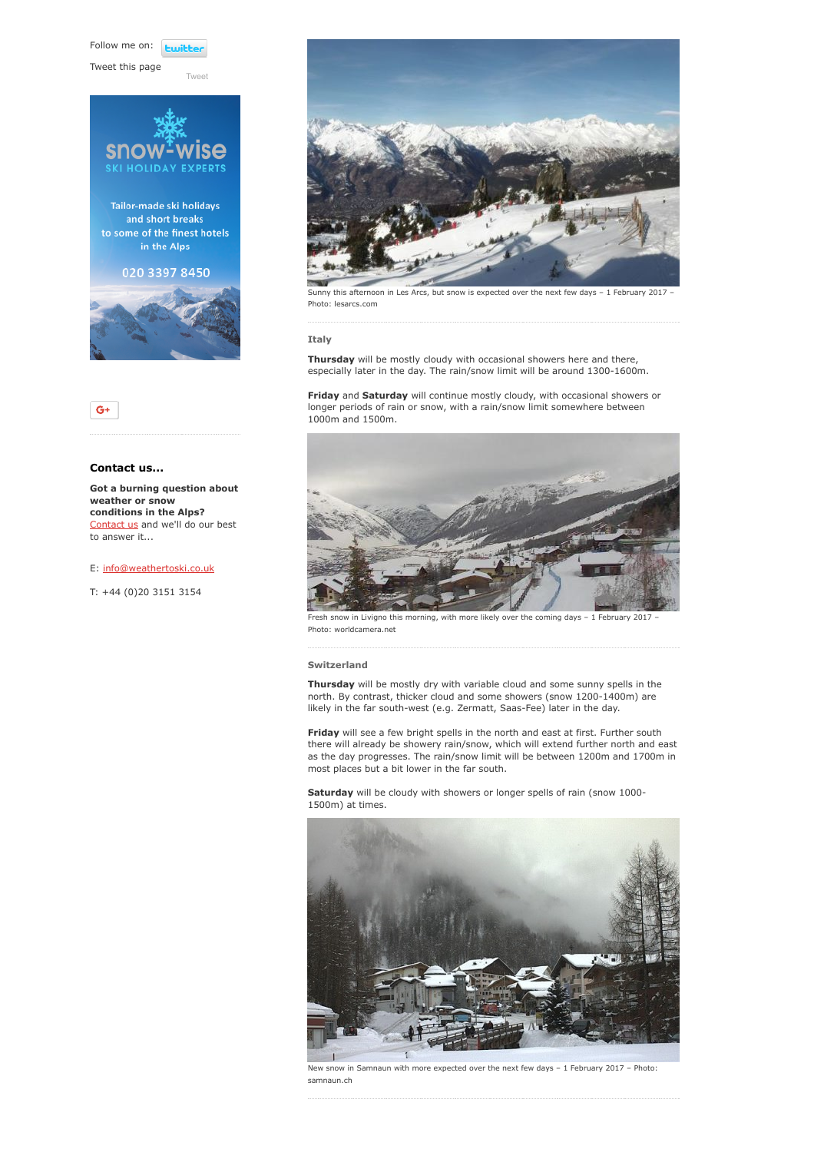Follow me on: **Lwitt** 

[Tweet](https://twitter.com/intent/tweet?original_referer=https%3A%2F%2Fwww.weathertoski.co.uk%2Fweather-snow%2Farchive%2Fsnow-forecast-01-02-2017%2F&ref_src=twsrc%5Etfw&text=Weather%20to%20ski%20-%20Snow%20forecast%20-%201%20February%202017&tw_p=tweetbutton&url=https%3A%2F%2Fwww.weathertoski.co.uk%2Fweather-snow%2Farchive%2Fsnow-forecast-01-02-2017%2F)

Tweet this page





### Contact us...

Got a burning question about weather or snow conditions in the Alps? [Contact us](https://www.weathertoski.co.uk/about-1/contact-us/) and we'll do our best to answer it...

#### E: [info@weathertoski.co.uk](mailto:fraser@weathertoski.co.uk)

T: +44 (0)20 3151 3154



Sunny this afternoon in Les Arcs, but snow is expected over the next few days - 1 February 2017 -Photo: lesarcs.com

#### Italy

Thursday will be mostly cloudy with occasional showers here and there, especially later in the day. The rain/snow limit will be around 1300-1600m.

Friday and Saturday will continue mostly cloudy, with occasional showers or longer periods of rain or snow, with a rain/snow limit somewhere between 1000m and 1500m.



Fresh snow in Livigno this morning, with more likely over the coming days - 1 February 2017 Photo: worldcamera.net

#### Switzerland

**Thursday** will be mostly dry with variable cloud and some sunny spells in the north. By contrast, thicker cloud and some showers (snow 1200-1400m) are likely in the far south-west (e.g. Zermatt, Saas-Fee) later in the day.

Friday will see a few bright spells in the north and east at first. Further south there will already be showery rain/snow, which will extend further north and east as the day progresses. The rain/snow limit will be between 1200m and 1700m in most places but a bit lower in the far south.

Saturday will be cloudy with showers or longer spells of rain (snow 1000-1500m) at times.



New snow in Samnaun with more expected over the next few days – 1 February 2017 – Photo: samnaun.ch